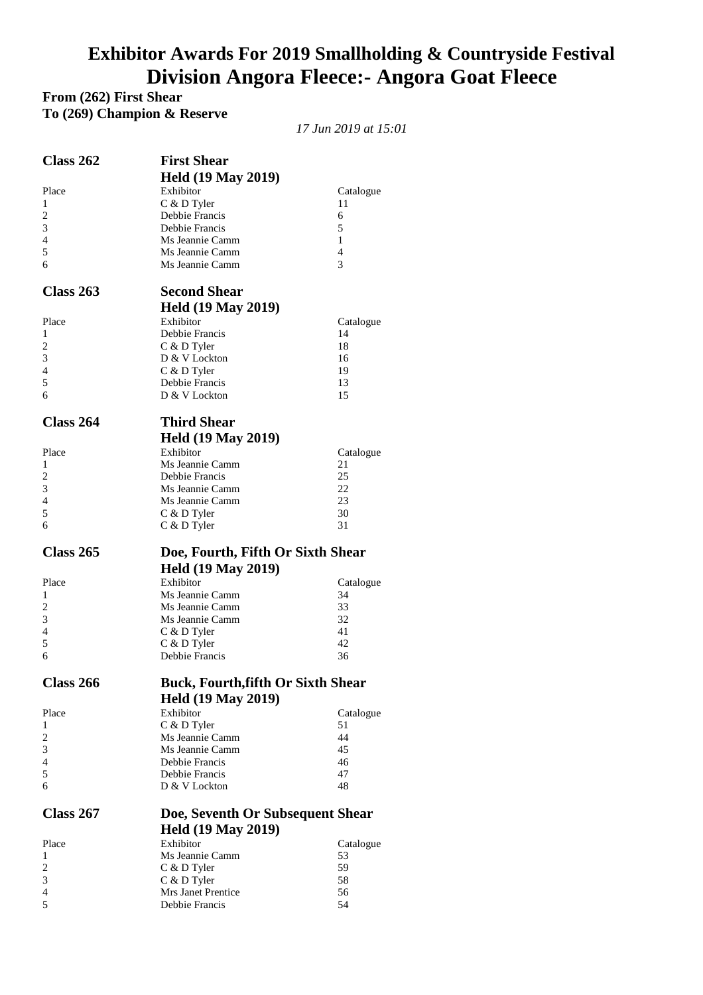## **Exhibitor Awards For 2019 Smallholding & Countryside Festival Division Angora Fleece:- Angora Goat Fleece**

**From (262) First Shear To (269) Champion & Reserve** 

*17 Jun 2019 at 15:01* 

| Class 262           | <b>First Shear</b>                        |                 |
|---------------------|-------------------------------------------|-----------------|
|                     |                                           |                 |
|                     | <b>Held (19 May 2019)</b><br>Exhibitor    |                 |
| Place<br>1          | C & D Tyler                               | Catalogue<br>11 |
| 2                   | Debbie Francis                            | 6               |
| 3                   | Debbie Francis                            | 5               |
| $\overline{4}$      | Ms Jeannie Camm                           | 1               |
| 5                   | Ms Jeannie Camm                           | 4               |
| 6                   | Ms Jeannie Camm                           | 3               |
|                     |                                           |                 |
| <b>Class 263</b>    | <b>Second Shear</b>                       |                 |
|                     | <b>Held (19 May 2019)</b>                 |                 |
| Place               | Exhibitor                                 | Catalogue       |
| 1                   | Debbie Francis                            | 14              |
| $\overline{c}$<br>3 | C & D Tyler                               | 18              |
| $\overline{4}$      | D & V Lockton                             | 16              |
| 5                   | C & D Tyler<br>Debbie Francis             | 19<br>13        |
| 6                   | D & V Lockton                             | 15              |
|                     |                                           |                 |
| <b>Class 264</b>    | <b>Third Shear</b>                        |                 |
|                     | <b>Held (19 May 2019)</b>                 |                 |
| Place               | Exhibitor                                 | Catalogue       |
| 1                   | Ms Jeannie Camm                           | 21              |
| 2                   | Debbie Francis                            | 25              |
| 3                   | Ms Jeannie Camm                           | 22              |
| 4                   | Ms Jeannie Camm                           | 23              |
| 5                   | C & D Tyler                               | 30              |
| 6                   | C & D Tyler                               | 31              |
|                     |                                           |                 |
| Class 265           |                                           |                 |
|                     | Doe, Fourth, Fifth Or Sixth Shear         |                 |
|                     | <b>Held (19 May 2019)</b>                 |                 |
| Place               | Exhibitor                                 | Catalogue       |
| 1                   | Ms Jeannie Camm                           | 34              |
| 2                   | Ms Jeannie Camm<br>Ms Jeannie Camm        | 33<br>32        |
| 3<br>$\overline{4}$ |                                           | 41              |
| 5                   | C & D Tyler<br>C & D Tyler                | 42              |
| 6                   | Debbie Francis                            | 36              |
|                     |                                           |                 |
| <b>Class 266</b>    | <b>Buck, Fourth, fifth Or Sixth Shear</b> |                 |
|                     | <b>Held (19 May 2019)</b>                 |                 |
| Place               | Exhibitor                                 | Catalogue       |
| 1                   | C & D Tyler                               | 51              |
| $\overline{c}$      | Ms Jeannie Camm                           | 44              |
| 3                   | Ms Jeannie Camm                           | 45              |
| 4                   | Debbie Francis                            | 46              |
| 5                   | Debbie Francis                            | 47              |
| 6                   | D & V Lockton                             | 48              |
| Class 267           | Doe, Seventh Or Subsequent Shear          |                 |
|                     |                                           |                 |
|                     | <b>Held (19 May 2019)</b><br>Exhibitor    |                 |
| Place<br>1          |                                           | Catalogue<br>53 |
| $\overline{c}$      | Ms Jeannie Camm                           | 59              |
| 3                   | C & D Tyler<br>C & D Tyler                | 58              |
| $\overline{4}$      | Mrs Janet Prentice                        | 56              |